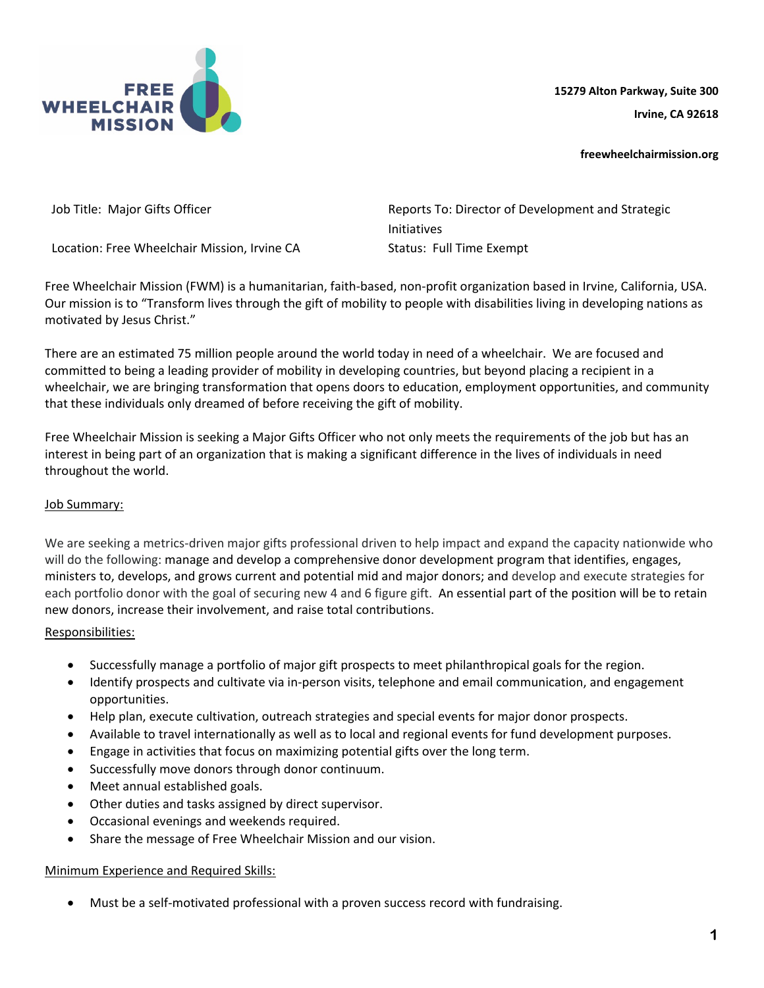

**15279 Alton Parkway, Suite 300 Irvine, CA 92618**

**freewheelchairmission.org**

Location: Free Wheelchair Mission, Irvine CA Status: Full Time Exempt

Job Title: Major Gifts Officer Reports To: Director of Development and Strategic Initiatives

Free Wheelchair Mission (FWM) is a humanitarian, faith-based, non-profit organization based in Irvine, California, USA. Our mission is to "Transform lives through the gift of mobility to people with disabilities living in developing nations as motivated by Jesus Christ."

There are an estimated 75 million people around the world today in need of a wheelchair. We are focused and committed to being a leading provider of mobility in developing countries, but beyond placing a recipient in a wheelchair, we are bringing transformation that opens doors to education, employment opportunities, and community that these individuals only dreamed of before receiving the gift of mobility.

Free Wheelchair Mission is seeking a Major Gifts Officer who not only meets the requirements of the job but has an interest in being part of an organization that is making a significant difference in the lives of individuals in need throughout the world.

## Job Summary:

We are seeking a metrics-driven major gifts professional driven to help impact and expand the capacity nationwide who will do the following: manage and develop a comprehensive donor development program that identifies, engages, ministers to, develops, and grows current and potential mid and major donors; and develop and execute strategies for each portfolio donor with the goal of securing new 4 and 6 figure gift. An essential part of the position will be to retain new donors, increase their involvement, and raise total contributions.

## Responsibilities:

- Successfully manage a portfolio of major gift prospects to meet philanthropical goals for the region.
- Identify prospects and cultivate via in-person visits, telephone and email communication, and engagement opportunities.
- Help plan, execute cultivation, outreach strategies and special events for major donor prospects.
- Available to travel internationally as well as to local and regional events for fund development purposes.
- Engage in activities that focus on maximizing potential gifts over the long term.
- Successfully move donors through donor continuum.
- Meet annual established goals.
- Other duties and tasks assigned by direct supervisor.
- Occasional evenings and weekends required.
- Share the message of Free Wheelchair Mission and our vision.

## Minimum Experience and Required Skills:

• Must be a self-motivated professional with a proven success record with fundraising.